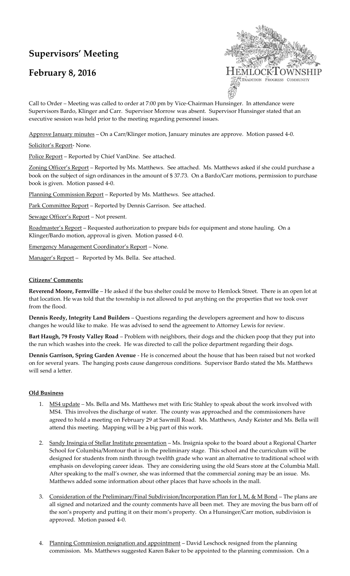# **Supervisors' Meeting**

# **February 8, 2016**



Call to Order – Meeting was called to order at 7:00 pm by Vice-Chairman Hunsinger. In attendance were Supervisors Bardo, Klinger and Carr. Supervisor Morrow was absent. Supervisor Hunsinger stated that an executive session was held prior to the meeting regarding personnel issues.

Approve January minutes – On a Carr/Klinger motion, January minutes are approve. Motion passed 4-0.

Solicitor's Report-None.

Police Report – Reported by Chief VanDine. See attached.

Zoning Officer's Report – Reported by Ms. Matthews. See attached. Ms. Matthews asked if she could purchase a book on the subject of sign ordinances in the amount of \$ 37.73. On a Bardo/Carr motions, permission to purchase book is given. Motion passed 4-0.

Planning Commission Report - Reported by Ms. Matthews. See attached.

Park Committee Report - Reported by Dennis Garrison. See attached.

Sewage Officer's Report – Not present.

Roadmaster's Report – Requested authorization to prepare bids for equipment and stone hauling. On a Klinger/Bardo motion, approval is given. Motion passed 4-0.

Emergency Management Coordinator's Report – None.

Manager's Report - Reported by Ms. Bella. See attached.

#### **Citizens' Comments:**

**Reverend Moore, Fernville** – He asked if the bus shelter could be move to Hemlock Street. There is an open lot at that location. He was told that the township is not allowed to put anything on the properties that we took over from the flood.

**Dennis Reedy, Integrity Land Builders** – Questions regarding the developers agreement and how to discuss changes he would like to make. He was advised to send the agreement to Attorney Lewis for review.

**Bart Haugh, 79 Frosty Valley Road** – Problem with neighbors, their dogs and the chicken poop that they put into the run which washes into the creek. He was directed to call the police department regarding their dogs.

**Dennis Garrison, Spring Garden Avenue** - He is concerned about the house that has been raised but not worked on for several years. The hanging posts cause dangerous conditions. Supervisor Bardo stated the Ms. Matthews will send a letter.

## **Old Business**

- 1. MS4 update *–* Ms. Bella and Ms. Matthews met with Eric Stahley to speak about the work involved with MS4. This involves the discharge of water. The county was approached and the commissioners have agreed to hold a meeting on February 29 at Sawmill Road. Ms. Matthews, Andy Keister and Ms. Bella will attend this meeting. Mapping will be a big part of this work.
- 2. Sandy Insingia of Stellar Institute presentation Ms. Insignia spoke to the board about a Regional Charter School for Columbia/Montour that is in the preliminary stage. This school and the curriculum will be designed for students from ninth through twelfth grade who want an alternative to traditional school with emphasis on developing career ideas. They are considering using the old Sears store at the Columbia Mall. After speaking to the mall's owner, she was informed that the commercial zoning may be an issue. Ms. Matthews added some information about other places that have schools in the mall.
- 3. Consideration of the Preliminary/Final Subdivision/Incorporation Plan for J, M, & M Bond The plans are all signed and notarized and the county comments have all been met. They are moving the bus barn off of the son's property and putting it on their mom's property. On a Hunsinger/Carr motion, subdivision is approved. Motion passed 4-0.
- 4. Planning Commission resignation and appointment David Leschock resigned from the planning commission. Ms. Matthews suggested Karen Baker to be appointed to the planning commission. On a